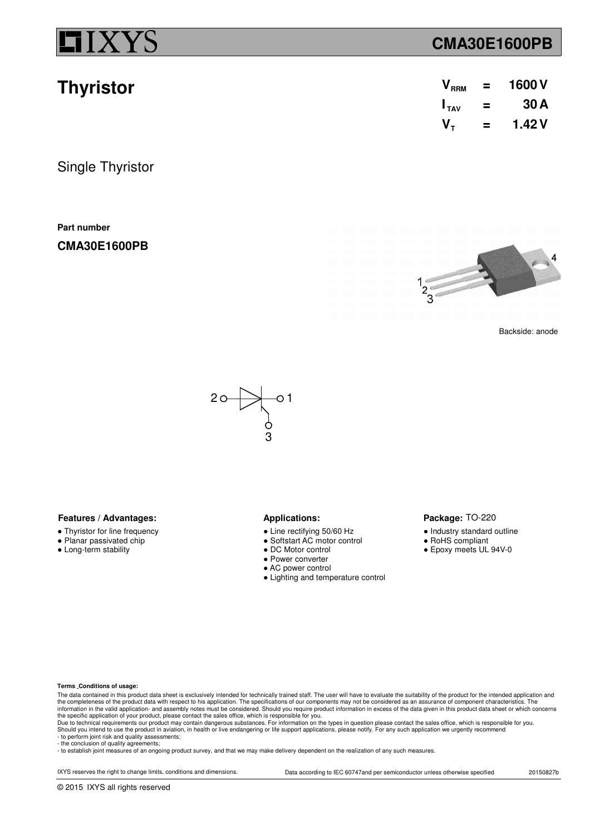**Thyristor**

## **CMA30E1600PB**

| $\bm{\mathsf{V}}_{\texttt{RRM}}$ | = | 1600 V |
|----------------------------------|---|--------|
| $I_{TAV}$                        | = | 30 A   |
| V,                               | = | 1.42 V |

Single Thyristor

**Part number**

**CMA30E1600PB**



Backside: anode



### **Features / Advantages:** Applications:

- Thyristor for line frequency
- Planar passivated chip
- Long-term stability

- Line rectifying 50/60 Hz
- Softstart AC motor control
- DC Motor control
- Power converter
- AC power control
- Lighting and temperature control

### Package: TO-220

- Industry standard outline
- RoHS compliant
- Epoxy meets UL 94V-0

### **Terms Conditions of usage:**

The data contained in this product data sheet is exclusively intended for technically trained staff. The user will have to evaluate the suitability of the product for the intended application and<br>the completeness of the pr information in the valid application- and assembly notes must be considered. Should you require product information in excess of the data given in this product data sheet or which concerns<br>the specific application of your

- to perform joint risk and quality assessments; - the conclusion of quality agreements;

- to establish joint measures of an ongoing product survey, and that we may make delivery dependent on the realization of any such measures.

IXYS reserves the right to change limits, conditions and dimensions. Data according to IEC 60747and per semiconductor unless otherwise specified 20150827b

© 2015 IXYS all rights reserved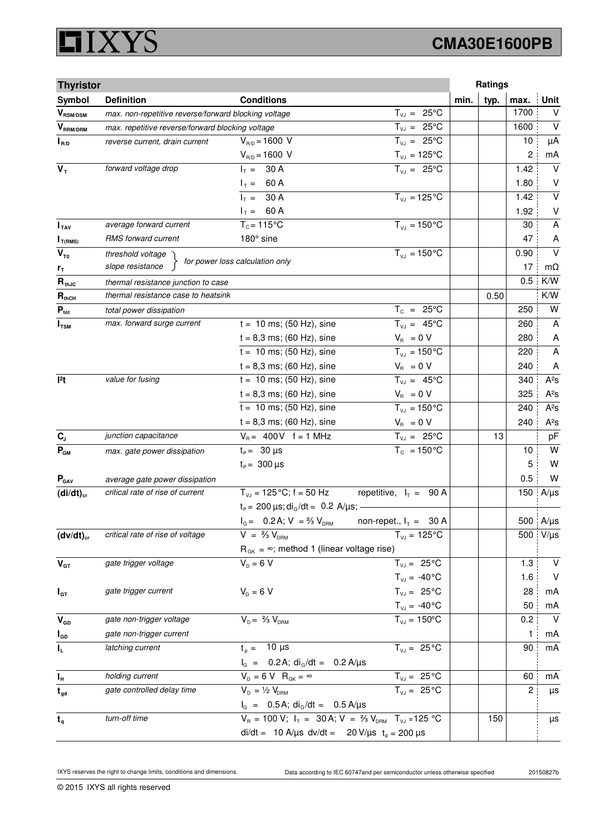### **XYS** Ľ

# **CMA30E1600PB**

| <b>Thyristor</b>                      |                                                      |                                                                             |                                |      | Ratings |                |                         |
|---------------------------------------|------------------------------------------------------|-----------------------------------------------------------------------------|--------------------------------|------|---------|----------------|-------------------------|
| Symbol                                | <b>Definition</b>                                    | <b>Conditions</b>                                                           |                                | min. | typ.    | max.           | <b>Unit</b>             |
| $\bm{V}_{\text{RSM/DSM}}$             | max. non-repetitive reverse/forward blocking voltage |                                                                             | $T_{VJ} = 25^{\circ}C$         |      |         | 1700           | $\vee$                  |
| $V_{\scriptscriptstyle{\sf RRM/DRM}}$ | max. repetitive reverse/forward blocking voltage     |                                                                             | $T_{VJ} = 25^{\circ}C$         |      |         | 1600           | $\vee$                  |
| $I_{R/D}$                             | reverse current, drain current                       | $V_{R/D} = 1600 V$                                                          | $T_{VJ} = 25^{\circ}C$         |      |         | 10             | μA                      |
|                                       |                                                      | $V_{R/D} = 1600 V$                                                          | $T_{\text{vJ}} = 125^{\circ}C$ |      |         | 2              | mA                      |
| $V_T$                                 | forward voltage drop                                 | $I_T = 30 A$                                                                | $T_{V,1} = 25^{\circ}C$        |      |         | 1.42           | $\vee$                  |
|                                       |                                                      | $I_T = 60 A$                                                                |                                |      |         | 1.80           | V                       |
|                                       |                                                      | $I_T = 30 A$                                                                | $T_{VJ} = 125$ °C              |      |         | 1.42           | $\overline{\mathsf{v}}$ |
|                                       |                                                      | $I_T = 60 A$                                                                |                                |      |         | 1.92           | $\vee$                  |
| I <sub>TAV</sub>                      | average forward current                              | $T_c = 115$ °C                                                              | $T_{V1} = 150^{\circ}C$        |      |         | 30             | A                       |
| $I_{T(RMS)}$                          | RMS forward current                                  | 180° sine                                                                   |                                |      |         | 47             | A                       |
| $V_{\tau_0}$                          | threshold voltage                                    | for power loss calculation only                                             | $T_{VJ} = 150 °C$              |      |         | 0.90           | $\vee$                  |
| $r_{\tau}$                            | slope resistance                                     |                                                                             |                                |      |         | 17             | $m\Omega$               |
| $R_{thJC}$                            | thermal resistance junction to case                  |                                                                             |                                |      |         | 0.5            | K/W                     |
| $R_{thCH}$                            | thermal resistance case to heatsink                  |                                                                             |                                |      | 0.50    |                | K/W                     |
| $P_{\text{tot}}$                      | total power dissipation                              |                                                                             | $T_c = 25^{\circ}C$            |      |         | 250            | W                       |
| $I_{\text{TSM}}$                      | max. forward surge current                           | $t = 10$ ms; (50 Hz), sine                                                  | $T_{V,I} = 45^{\circ}C$        |      |         | 260            | A                       |
|                                       |                                                      | $t = 8,3$ ms; (60 Hz), sine                                                 | $V_{\rm R} = 0 V$              |      |         | 280            | A                       |
|                                       |                                                      | $t = 10$ ms; (50 Hz), sine                                                  | $\overline{T_{v,i}}$ = 150°C   |      |         | 220            | $\overline{A}$          |
|                                       |                                                      | $t = 8,3$ ms; (60 Hz), sine                                                 | $V_{B} = 0 V$                  |      |         | 240            | A                       |
| 12t                                   | value for fusing                                     | $t = 10$ ms; (50 Hz), sine                                                  | $T_{VJ} = 45^{\circ}C$         |      |         | 340            | $A^2S$                  |
|                                       |                                                      | $t = 8,3$ ms; (60 Hz), sine                                                 | $V_R = 0 V$                    |      |         | 325            | $A^2S$                  |
|                                       |                                                      | $t = 10$ ms; (50 Hz), sine                                                  | $T_{VJ} = 150^{\circ}C$        |      |         | 240            | $A^2S$                  |
|                                       |                                                      | $t = 8,3$ ms; (60 Hz), sine                                                 | $V_{\rm R} = 0 V$              |      |         | 240            | $A^2S$                  |
| $C_{J}$                               | junction capacitance                                 | $V_B = 400V$ f = 1 MHz                                                      | $\overline{T_{vJ}}$ = 25°C     |      | 13      |                | pF                      |
| $\mathbf{P}_{\texttt{GM}}$            | max. gate power dissipation                          | $t_{\rm p}$ = 30 µs                                                         | $T_c = 150^{\circ}$ C          |      |         | 10             | W                       |
|                                       |                                                      | $t_{\rm p} = 300 \,\mu s$                                                   |                                |      |         | 5              | W                       |
| $P_{\text{GAV}}$                      | average gate power dissipation                       |                                                                             |                                |      |         | 0.5            | W                       |
| $(di/dt)_{cr}$                        | critical rate of rise of current                     | $T_{V,I}$ = 125 °C; f = 50 Hz                                               | repetitive, $I_T = 90 A$       |      |         | 150            | $A/\mu s$               |
|                                       |                                                      | $t_P$ = 200 $\mu$ s; di <sub>G</sub> /dt = 0.2 A/ $\mu$ s; -                |                                |      |         |                |                         |
|                                       |                                                      | $I_G = 0.2$ A; $V = \frac{2}{3} V_{DRM}$                                    | non-repet., $I_T = 30 A$       |      |         |                | 500 A/µs                |
| $(dv/dt)_{cr}$                        | critical rate of rise of voltage                     | $V = \frac{2}{3} V_{DBM}$                                                   | $T_{VJ} = 125^{\circ}C$        |      |         | 500            | $V/\mu s$               |
|                                       |                                                      | $R_{GK} = \infty$ ; method 1 (linear voltage rise)                          |                                |      |         |                |                         |
| $\mathbf{V}_{\text{GT}}$              | gate trigger voltage                                 | $V_{D} = 6 V$                                                               | $T_{VJ} = 25^{\circ}C$         |      |         | 1.3            | $\vee$                  |
|                                       |                                                      |                                                                             | $T_{VJ} = -40\degree C$        |      |         | 1.6            | V                       |
| $I_{GT}$                              | gate trigger current                                 | $V_{D} = 6 V$                                                               | $T_{VJ} = 25^{\circ}C$         |      |         | 28             | mA                      |
|                                       |                                                      |                                                                             | $T_{VJ} = -40\degree C$        |      |         | 50             | mA                      |
| $V_{GD}$                              | gate non-trigger voltage                             | $V_{D} = \frac{2}{3} V_{DBM}$                                               | $T_{VJ} = 150^{\circ}C$        |      |         | 0.2            | $\vee$                  |
| $I_{GD}$                              | gate non-trigger current                             |                                                                             |                                |      |         | 1              | mA                      |
| IL.                                   | latching current                                     | $t_{p} = 10 \mu s$                                                          | $T_{VJ} = 25^{\circ}C$         |      |         | 90             | mA                      |
|                                       |                                                      | $I_G$ = 0.2 A; di <sub>G</sub> /dt = 0.2 A/µs                               |                                |      |         |                |                         |
| $I_H$                                 | holding current                                      | $V_{D} = 6 V R_{GK} = \infty$                                               | $T_{VJ} = 25^{\circ}C$         |      |         | 60             | mA                      |
| $t_{gd}$                              | gate controlled delay time                           | $V_{D} = \frac{1}{2} V_{DBM}$                                               | $T_{VJ} = 25 °C$               |      |         | $\overline{c}$ | μs                      |
|                                       |                                                      | $I_G = 0.5 A$ ; di <sub>G</sub> /dt = 0.5 A/µs                              |                                |      |         |                |                         |
| $t_{q}$                               | turn-off time                                        | $V_R = 100 V; I_T = 30 A; V = \frac{2}{3} V_{DRM}$ T <sub>VJ</sub> = 125 °C |                                |      | 150     |                | μs                      |
|                                       |                                                      | di/dt = 10 A/µs dv/dt = 20 V/µs $t_p = 200 \mu s$                           |                                |      |         |                |                         |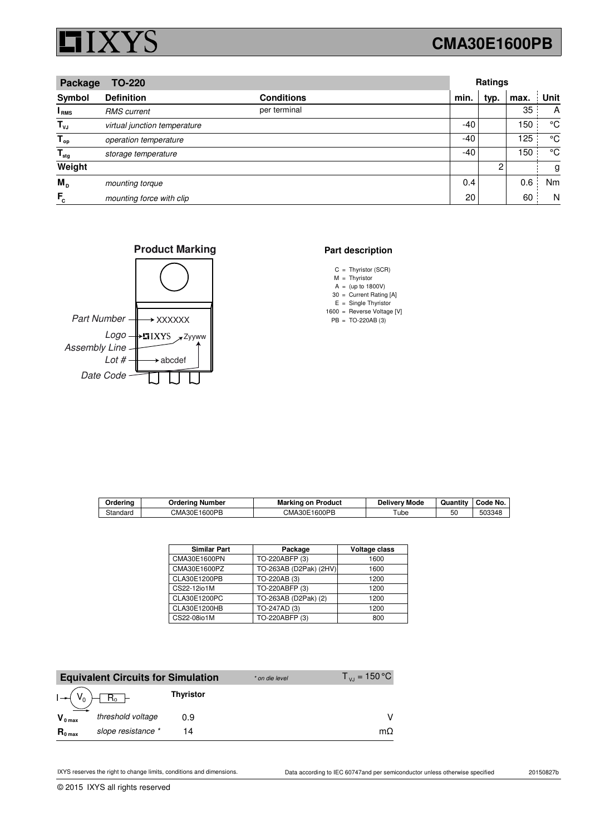

## **CMA30E1600PB**

| Package<br><b>TO-220</b>  |                              |                   | Ratings |      |      |      |
|---------------------------|------------------------------|-------------------|---------|------|------|------|
| Symbol                    | <b>Definition</b>            | <b>Conditions</b> | min.    | typ. | max. | Unit |
| I RMS                     | <b>RMS</b> current           | per terminal      |         |      | 35   | A    |
| $T_{\nu J}$               | virtual junction temperature |                   | -40     |      | 150  | °C   |
| $T_{op}$                  | operation temperature        |                   | -40     |      | 125  | °C   |
| $\mathsf{T}_{\text{stg}}$ | storage temperature          |                   | -40     |      | 150  | °C   |
| Weight                    |                              |                   |         | 2    |      | g    |
| M <sub>p</sub>            | mounting torque              |                   | 0.4     |      | 0.6  | Nm   |
| $F_c$                     | mounting force with clip     |                   | 20      |      | 60   | N    |





### **Part description**

- C Thyristor (SCR) =
- M Thyristor =
- A 30 (up to 1800V) = = Current Rating [A]
- $E =$  Single Thyristor
- 1600 = Reverse Voltage [V]
- PB TO-220AB (3) =

| Orderina | Ordering Number | <b>Marking on Product</b> | Deliverv Mode | Quantity | Code No. |
|----------|-----------------|---------------------------|---------------|----------|----------|
| Standard | CMA30E1600PB    | CMA30E1600PB              | Tu            | 50       | 503348   |

| <b>Similar Part</b> | Package                | Voltage class |
|---------------------|------------------------|---------------|
| CMA30E1600PN        | TO-220ABFP (3)         | 1600          |
| CMA30E1600PZ        | TO-263AB (D2Pak) (2HV) | 1600          |
| CLA30E1200PB        | TO-220AB (3)           | 1200          |
| CS22-12io1M         | TO-220ABFP (3)         | 1200          |
| CLA30E1200PC        | TO-263AB (D2Pak) (2)   | 1200          |
| CLA30E1200HB        | TO-247AD (3)           | 1200          |
| CS22-08io1M         | TO-220ABFP (3)         | 800           |

|                       | <b>Equivalent Circuits for Simulation</b> |                  | * on die level | $T_{\nu J}$ = 150 °C |
|-----------------------|-------------------------------------------|------------------|----------------|----------------------|
| $I \rightarrow (V_0)$ |                                           | <b>Thyristor</b> |                |                      |
| $V_{0 \text{ max}}$   | threshold voltage                         | 0.9              |                |                      |
| $R_{0 \text{ max}}$   | slope resistance *                        | 14               |                | mΩ                   |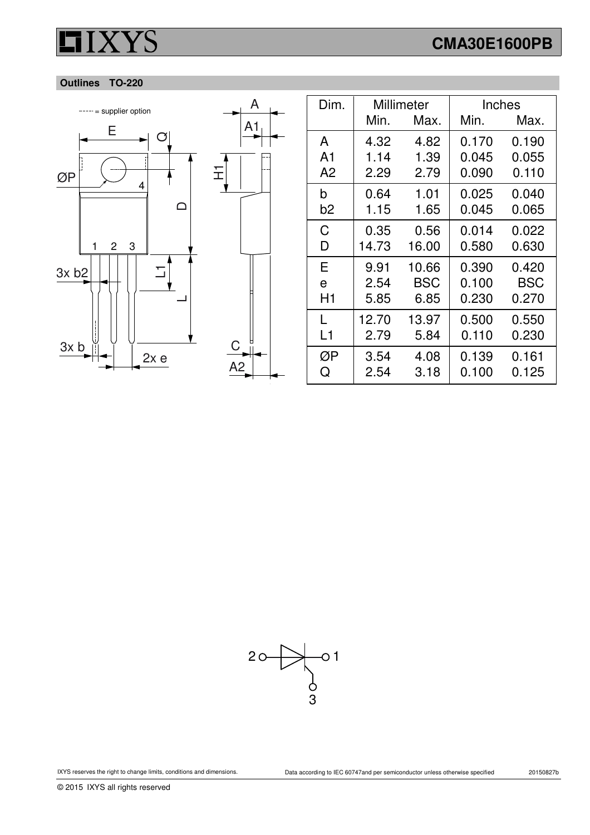# **CMA30E1600PB**

### **Outlines TO-220**



| Dim.           | Millimeter |       | Inches |            |
|----------------|------------|-------|--------|------------|
|                | Min.       | Max.  | Min.   | Max.       |
| A              | 4.32       | 4.82  | 0.170  | 0.190      |
| A <sub>1</sub> | 1.14       | 1.39  | 0.045  | 0.055      |
| A <sub>2</sub> | 2.29       | 2.79  | 0.090  | 0.110      |
| b              | 0.64       | 1.01  | 0.025  | 0.040      |
| b2             | 1.15       | 1.65  | 0.045  | 0.065      |
| C              | 0.35       | 0.56  | 0.014  | 0.022      |
| D              | 14.73      | 16.00 | 0.580  | 0.630      |
| E              | 9.91       | 10.66 | 0.390  | 0.420      |
| e              | 2.54       | BSC   | 0.100  | <b>BSC</b> |
| H1             | 5.85       | 6.85  | 0.230  | 0.270      |
| L              | 12.70      | 13.97 | 0.500  | 0.550      |
| L1             | 2.79       | 5.84  | 0.110  | 0.230      |
| ØΡ             | 3.54       | 4.08  | 0.139  | 0.161      |
| Q              | 2.54       | 3.18  | 0.100  | 0.125      |

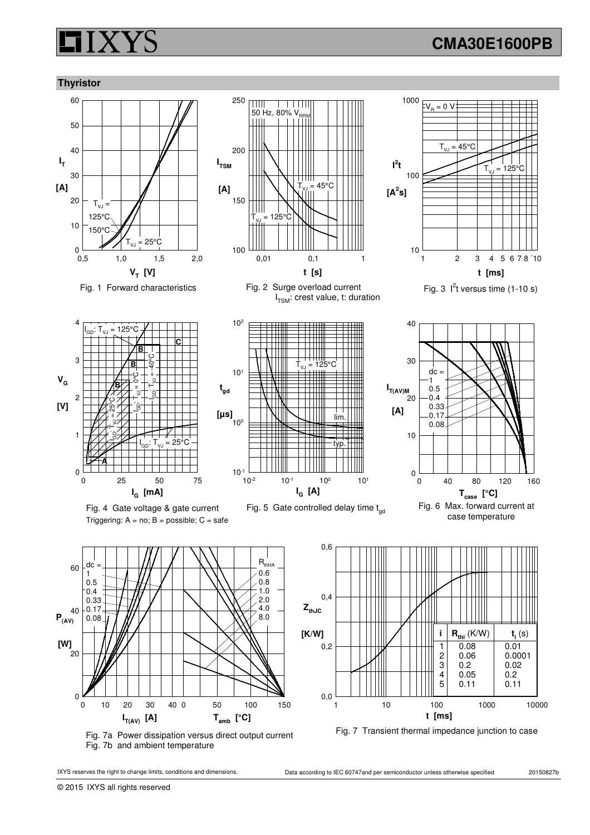## **CMA30E1600PB**

### **Thyristor**





11111<br>50 Hz, 80% V<sub>RR</sub>

 $\overline{\mathbf{H}}$ 

250

Fig. 1 Forward characteristics Fig. 2 Surge overload current I<sub>TSM</sub>: crest value, t: duration







Fig. 5 Gate controlled delay time  $t_{\text{nd}}$ 



 $1 2 3 4 5 6 7 8 10$ 

Fig. 3  $1<sup>2</sup>t$  versus time (1-10 s)

 $T_{VJ} = 45^{\circ}C$ 

 $V_R = 0$  V

**t [ms]**

 ${\sf T}_{\sf vJ}$  = 125°C

10

100

 $I^2$ t

**[A<sup>2</sup> s]**

1000

case temperature

 $\frac{\mathbf{R}_{\text{thi}} (K/W)}{0.08}$  **t**<sub>i</sub> (

 $\begin{array}{c|c} 2 & 0.06 \\ 3 & 0.2 \end{array}$  0.0001  $\begin{array}{c|c} 3 & 0.2 & 0.02 \\ 4 & 0.05 & 0.2 \end{array}$  $\begin{array}{c|c} 4 & 0.05 \\ 5 & 0.11 \end{array}$  0.2

 $\begin{array}{|c|c|c|} \hline 1 & 0.08 \\ 2 & 0.06 \end{array}$ 

**i** (s)

 $0.11$ 



Fig. 7a Power dissipation versus direct output current Fig. 7b and ambient temperature

0

20

40

 $P_{(AV)}$ 

**[W]**

60

dc 1 0.5 0.4 0.33 0.17 0.08